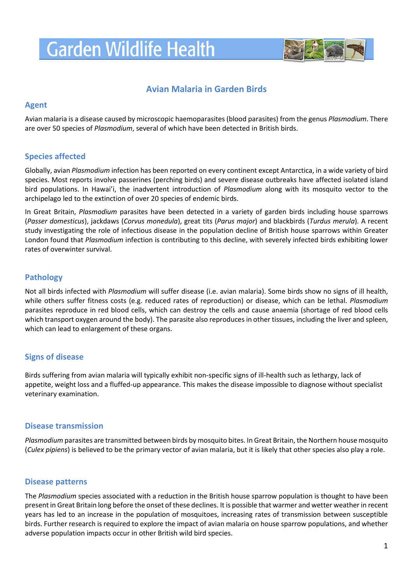# **Garden Wildlife Health**



# **Avian Malaria in Garden Birds**

### **Agent**

Avian malaria is a disease caused by microscopic haemoparasites (blood parasites) from the genus *Plasmodium*. There are over 50 species of *Plasmodium*, several of which have been detected in British birds.

# **Species affected**

Globally, avian *Plasmodium* infection has been reported on every continent except Antarctica, in a wide variety of bird species. Most reports involve passerines (perching birds) and severe disease outbreaks have affected isolated island bird populations. In Hawai'i, the inadvertent introduction of *Plasmodium* along with its mosquito vector to the archipelago led to the extinction of over 20 species of endemic birds.

In Great Britain, *Plasmodium* parasites have been detected in a variety of garden birds including house sparrows (*Passer domesticus*), jackdaws (*Corvus monedula*), great tits (*Parus major*) and blackbirds (*Turdus merula*). A recent study investigating the role of infectious disease in the population decline of British house sparrows within Greater London found that *Plasmodium* infection is contributing to this decline, with severely infected birds exhibiting lower rates of overwinter survival.

# **Pathology**

Not all birds infected with *Plasmodium* will suffer disease (i.e. avian malaria). Some birds show no signs of ill health, while others suffer fitness costs (e.g. reduced rates of reproduction) or disease, which can be lethal. *Plasmodium* parasites reproduce in red blood cells, which can destroy the cells and cause anaemia (shortage of red blood cells which transport oxygen around the body). The parasite also reproduces in other tissues, including the liver and spleen, which can lead to enlargement of these organs.

#### **Signs of disease**

Birds suffering from avian malaria will typically exhibit non-specific signs of ill-health such as lethargy, lack of appetite, weight loss and a fluffed-up appearance. This makes the disease impossible to diagnose without specialist veterinary examination.

#### **Disease transmission**

*Plasmodium* parasites are transmitted between birds by mosquito bites. In Great Britain, the Northern house mosquito (*Culex pipiens*) is believed to be the primary vector of avian malaria, but it is likely that other species also play a role.

# **Disease patterns**

The *Plasmodium* species associated with a reduction in the British house sparrow population is thought to have been present in Great Britain long before the onset of these declines. It is possible that warmer and wetter weather in recent years has led to an increase in the population of mosquitoes, increasing rates of transmission between susceptible birds. Further research is required to explore the impact of avian malaria on house sparrow populations, and whether adverse population impacts occur in other British wild bird species.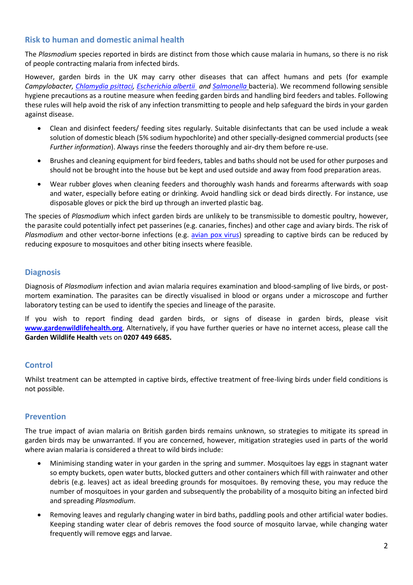### **Risk to human and domestic animal health**

The *Plasmodium* species reported in birds are distinct from those which cause malaria in humans, so there is no risk of people contracting malaria from infected birds.

However, garden birds in the UK may carry other diseases that can affect humans and pets (for example *Campylobacter, [Chlamydia psittaci,](https://www.gardenwildlifehealth.org/portfolio/trichomonosis-in-garden-birds/) [Escherichia albertii](http://www.gardenwildlifehealth.org/files/2013/06/Garden-bird-Escherichia-albertii-factsheet_GWH.pdf) and [Salmonella](http://www.gardenwildlifehealth.org/files/2013/06/Garden-bird-Salmonellosis-factsheet_GWH.pdf)* bacteria). We recommend following sensible hygiene precautions as a routine measure when feeding garden birds and handling bird feeders and tables. Following these rules will help avoid the risk of any infection transmitting to people and help safeguard the birds in your garden against disease.

- Clean and disinfect feeders/ feeding sites regularly. Suitable disinfectants that can be used include a weak solution of domestic bleach (5% sodium hypochlorite) and other specially-designed commercial products (see *Further information*). Always rinse the feeders thoroughly and air-dry them before re-use.
- Brushes and cleaning equipment for bird feeders, tables and baths should not be used for other purposes and should not be brought into the house but be kept and used outside and away from food preparation areas.
- Wear rubber gloves when cleaning feeders and thoroughly wash hands and forearms afterwards with soap and water, especially before eating or drinking. Avoid handling sick or dead birds directly. For instance, use disposable gloves or pick the bird up through an inverted plastic bag.

The species of *Plasmodium* which infect garden birds are unlikely to be transmissible to domestic poultry, however, the parasite could potentially infect pet passerines (e.g. canaries, finches) and other cage and aviary birds. The risk of Plasmodium and other vector-borne infections (e.g. [avian pox](https://www.gardenwildlifehealth.org/portfolio/avian-pox-in-garden-birds/) virus) spreading to captive birds can be reduced by reducing exposure to mosquitoes and other biting insects where feasible.

# **Diagnosis**

Diagnosis of *Plasmodium* infection and avian malaria requires examination and blood-sampling of live birds, or postmortem examination. The parasites can be directly visualised in blood or organs under a microscope and further laboratory testing can be used to identify the species and lineage of the parasite.

If you wish to report finding dead garden birds, or signs of disease in garden birds, please visit **[www.gardenwildlifehealth.org](http://www.gardenwildlifehealth.org/)**. Alternatively, if you have further queries or have no internet access, please call the **Garden Wildlife Health** vets on **0207 449 6685.**

#### **Control**

Whilst treatment can be attempted in captive birds, effective treatment of free-living birds under field conditions is not possible.

#### **Prevention**

The true impact of avian malaria on British garden birds remains unknown, so strategies to mitigate its spread in garden birds may be unwarranted. If you are concerned, however, mitigation strategies used in parts of the world where avian malaria is considered a threat to wild birds include:

- Minimising standing water in your garden in the spring and summer. Mosquitoes lay eggs in stagnant water so empty buckets, open water butts, blocked gutters and other containers which fill with rainwater and other debris (e.g. leaves) act as ideal breeding grounds for mosquitoes. By removing these, you may reduce the number of mosquitoes in your garden and subsequently the probability of a mosquito biting an infected bird and spreading *Plasmodium*.
- Removing leaves and regularly changing water in bird baths, paddling pools and other artificial water bodies. Keeping standing water clear of debris removes the food source of mosquito larvae, while changing water frequently will remove eggs and larvae.